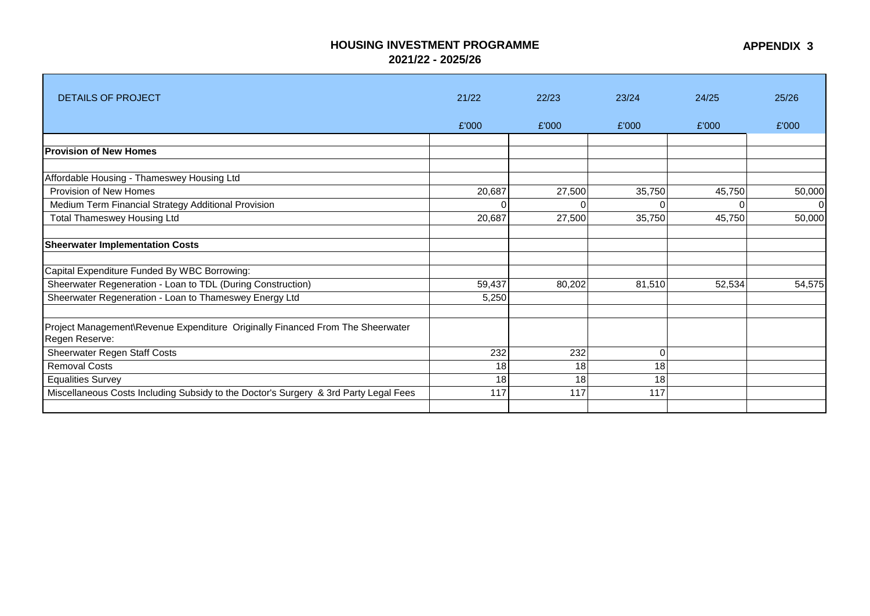## **HOUSING INVESTMENT PROGRAMME**

**2021/22 - 2025/26**

| <b>DETAILS OF PROJECT</b>                                                                        | 21/22  | 22/23  | 23/24    | 24/25  | 25/26    |
|--------------------------------------------------------------------------------------------------|--------|--------|----------|--------|----------|
|                                                                                                  |        |        |          |        |          |
|                                                                                                  | £'000  | £'000  | £'000    | £'000  | £'000    |
|                                                                                                  |        |        |          |        |          |
| <b>Provision of New Homes</b>                                                                    |        |        |          |        |          |
| Affordable Housing - Thameswey Housing Ltd                                                       |        |        |          |        |          |
| Provision of New Homes                                                                           | 20,687 | 27,500 | 35,750   | 45,750 | 50,000   |
| Medium Term Financial Strategy Additional Provision                                              |        | U      | $\Omega$ | C      | $\Omega$ |
| <b>Total Thameswey Housing Ltd</b>                                                               | 20,687 | 27,500 | 35,750   | 45,750 | 50,000   |
| <b>Sheerwater Implementation Costs</b>                                                           |        |        |          |        |          |
| Capital Expenditure Funded By WBC Borrowing:                                                     |        |        |          |        |          |
| Sheerwater Regeneration - Loan to TDL (During Construction)                                      | 59,437 | 80,202 | 81,510   | 52,534 | 54,575   |
| Sheerwater Regeneration - Loan to Thameswey Energy Ltd                                           | 5,250  |        |          |        |          |
| Project Management\Revenue Expenditure Originally Financed From The Sheerwater<br>Regen Reserve: |        |        |          |        |          |
| Sheerwater Regen Staff Costs                                                                     | 232    | 232    | $\Omega$ |        |          |
| <b>Removal Costs</b>                                                                             | 18     | 18     | 18       |        |          |
| <b>Equalities Survey</b>                                                                         | 18     | 18     | 18       |        |          |
| Miscellaneous Costs Including Subsidy to the Doctor's Surgery & 3rd Party Legal Fees             | 117    | 117    | 117      |        |          |
|                                                                                                  |        |        |          |        |          |

**APPENDIX 3**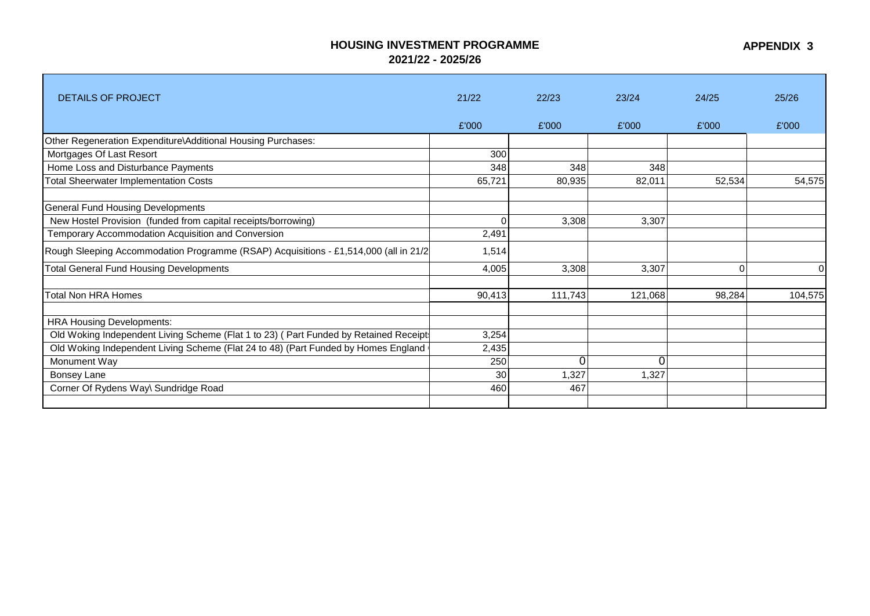## **HOUSING INVESTMENT PROGRAMME 2021/22 - 2025/26**

**APPENDIX 3**

| <b>DETAILS OF PROJECT</b>                                                            | 21/22  | 22/23   | 23/24   | 24/25  | 25/26   |
|--------------------------------------------------------------------------------------|--------|---------|---------|--------|---------|
|                                                                                      | £'000  | £'000   | £'000   | £'000  | £'000   |
| Other Regeneration Expenditure\Additional Housing Purchases:                         |        |         |         |        |         |
| Mortgages Of Last Resort                                                             | 300    |         |         |        |         |
| Home Loss and Disturbance Payments                                                   | 348    | 348     | 348     |        |         |
| <b>Total Sheerwater Implementation Costs</b>                                         | 65,721 | 80,935  | 82,011  | 52,534 | 54,575  |
| <b>General Fund Housing Developments</b>                                             |        |         |         |        |         |
| New Hostel Provision (funded from capital receipts/borrowing)                        |        | 3,308   | 3,307   |        |         |
| Temporary Accommodation Acquisition and Conversion                                   | 2,491  |         |         |        |         |
| Rough Sleeping Accommodation Programme (RSAP) Acquisitions - £1,514,000 (all in 21/2 | 1,514  |         |         |        |         |
| <b>Total General Fund Housing Developments</b>                                       | 4,005  | 3,308   | 3,307   | 0      |         |
| <b>Total Non HRA Homes</b>                                                           | 90,413 | 111,743 | 121,068 | 98,284 | 104,575 |
| <b>HRA Housing Developments:</b>                                                     |        |         |         |        |         |
| Old Woking Independent Living Scheme (Flat 1 to 23) (Part Funded by Retained Receipt | 3,254  |         |         |        |         |
| Old Woking Independent Living Scheme (Flat 24 to 48) (Part Funded by Homes England   | 2,435  |         |         |        |         |
| Monument Way                                                                         | 250    |         | 0       |        |         |
| Bonsey Lane                                                                          | 30     | 1,327   | 1,327   |        |         |
| Corner Of Rydens Way\ Sundridge Road                                                 | 460    | 467     |         |        |         |
|                                                                                      |        |         |         |        |         |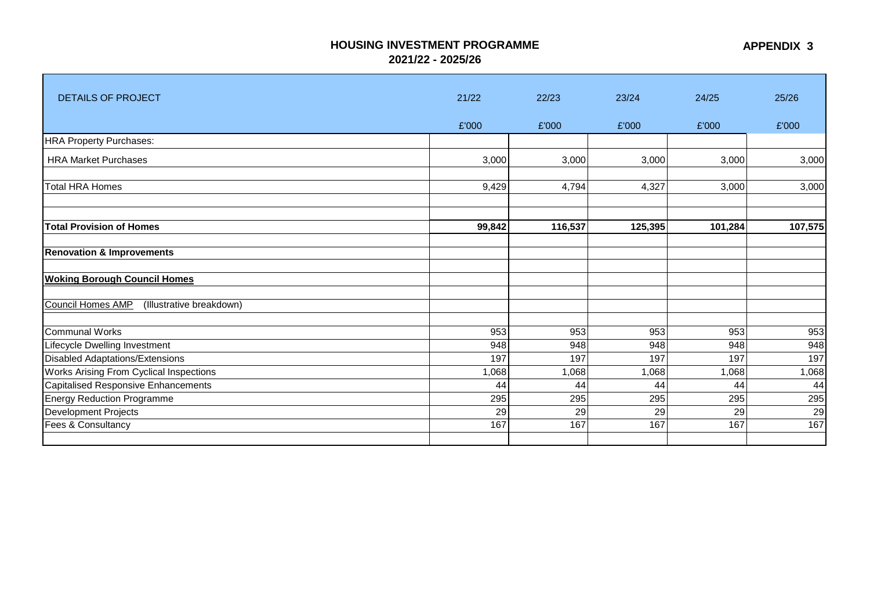## **HOUSING INVESTMENT PROGRAMME**

**2021/22 - 2025/26**

| <b>DETAILS OF PROJECT</b>                     | 21/22  | 22/23   | 23/24   | 24/25   | 25/26   |
|-----------------------------------------------|--------|---------|---------|---------|---------|
|                                               | £'000  | £'000   | £'000   | £'000   | £'000   |
| <b>HRA Property Purchases:</b>                |        |         |         |         |         |
| <b>HRA Market Purchases</b>                   | 3,000  | 3,000   | 3,000   | 3,000   | 3,000   |
| <b>Total HRA Homes</b>                        | 9,429  | 4,794   | 4,327   | 3,000   | 3,000   |
|                                               |        |         |         |         |         |
|                                               |        |         |         |         |         |
| <b>Total Provision of Homes</b>               | 99,842 | 116,537 | 125,395 | 101,284 | 107,575 |
| <b>Renovation &amp; Improvements</b>          |        |         |         |         |         |
| <b>Woking Borough Council Homes</b>           |        |         |         |         |         |
| Council Homes AMP<br>(Illustrative breakdown) |        |         |         |         |         |
| <b>Communal Works</b>                         | 953    | 953     | 953     | 953     | 953     |
| Lifecycle Dwelling Investment                 | 948    | 948     | 948     | 948     | 948     |
| <b>Disabled Adaptations/Extensions</b>        | 197    | 197     | 197     | 197     | 197     |
| Works Arising From Cyclical Inspections       | 1,068  | 1,068   | 1,068   | 1,068   | 1,068   |
| <b>Capitalised Responsive Enhancements</b>    | 44     | 44      | 44      | 44      | 44      |
| <b>Energy Reduction Programme</b>             | 295    | 295     | 295     | 295     | 295     |
| Development Projects                          | 29     | 29      | 29      | 29      | 29      |
| Fees & Consultancy                            | 167    | 167     | 167     | 167     | 167     |
|                                               |        |         |         |         |         |